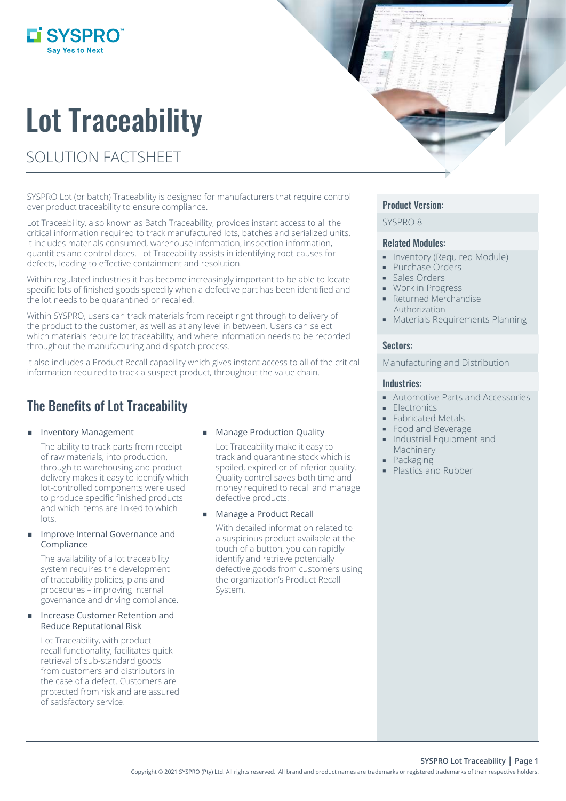# Lot Traceability

SOLUTION FACTSHEET

i SYSPRO

SYSPRO Lot (or batch) Traceability is designed for manufacturers that require control over product traceability to ensure compliance.

Lot Traceability, also known as Batch Traceability, provides instant access to all the critical information required to track manufactured lots, batches and serialized units. It includes materials consumed, warehouse information, inspection information, quantities and control dates. Lot Traceability assists in identifying root-causes for defects, leading to effective containment and resolution.

Within regulated industries it has become increasingly important to be able to locate specific lots of finished goods speedily when a defective part has been identified and the lot needs to be quarantined or recalled.

Within SYSPRO, users can track materials from receipt right through to delivery of the product to the customer, as well as at any level in between. Users can select which materials require lot traceability, and where information needs to be recorded throughout the manufacturing and dispatch process.

It also includes a Product Recall capability which gives instant access to all of the critical information required to track a suspect product, throughout the value chain.

## The Benefits of Lot Traceability

#### **Inventory Management**

The ability to track parts from receipt of raw materials, into production, through to warehousing and product delivery makes it easy to identify which lot-controlled components were used to produce specific finished products and which items are linked to which lots.

#### Improve Internal Governance and Compliance

The availability of a lot traceability system requires the development of traceability policies, plans and procedures – improving internal governance and driving compliance.

#### Increase Customer Retention and Reduce Reputational Risk

Lot Traceability, with product recall functionality, facilitates quick retrieval of sub-standard goods from customers and distributors in the case of a defect. Customers are protected from risk and are assured of satisfactory service.

#### Manage Production Quality

Lot Traceability make it easy to track and quarantine stock which is spoiled, expired or of inferior quality. Quality control saves both time and money required to recall and manage defective products.

Manage a Product Recall

With detailed information related to a suspicious product available at the touch of a button, you can rapidly identify and retrieve potentially defective goods from customers using the organization's Product Recall System.

#### Product Version:

SYSPRO 8

#### Related Modules:

- **Inventory (Required Module)**
- **Purchase Orders**
- Sales Orders
- Work in Progress
- Returned Merchandise Authorization
- **Materials Requirements Planning**

#### Sectors:

Manufacturing and Distribution

#### Industries:

- Automotive Parts and Accessories
- Electronics
- Fabricated Metals
- Food and Beverage
- **Industrial Equipment and** Machinery
- **Packaging**
- **Plastics and Rubber**